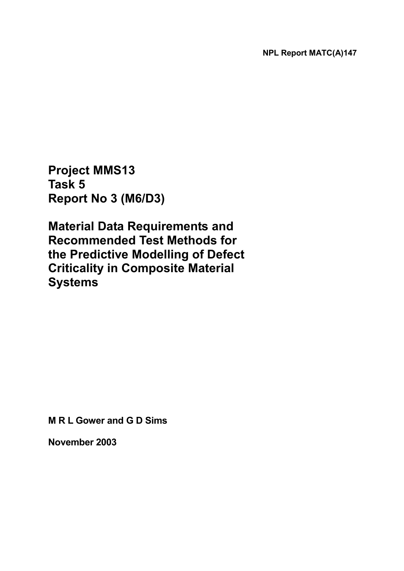**Project MMS13 Task 5 Report No 3 (M6/D3)** 

**Material Data Requirements and Recommended Test Methods for the Predictive Modelling of Defect Criticality in Composite Material Systems** 

**M R L Gower and G D Sims** 

**November 2003**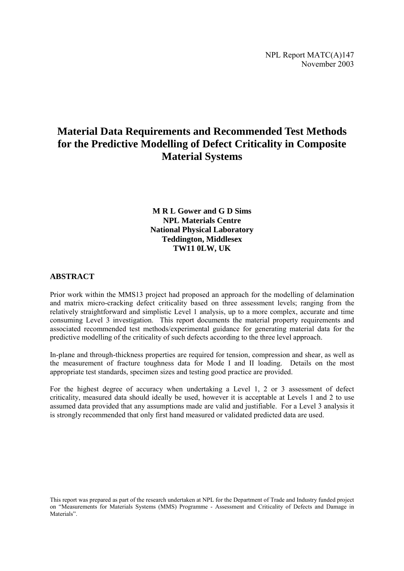# **Material Data Requirements and Recommended Test Methods for the Predictive Modelling of Defect Criticality in Composite Material Systems**

**M R L Gower and G D Sims NPL Materials Centre National Physical Laboratory Teddington, Middlesex TW11 0LW, UK** 

## **ABSTRACT**

Prior work within the MMS13 project had proposed an approach for the modelling of delamination and matrix micro-cracking defect criticality based on three assessment levels; ranging from the relatively straightforward and simplistic Level 1 analysis, up to a more complex, accurate and time consuming Level 3 investigation. This report documents the material property requirements and associated recommended test methods/experimental guidance for generating material data for the predictive modelling of the criticality of such defects according to the three level approach.

In-plane and through-thickness properties are required for tension, compression and shear, as well as the measurement of fracture toughness data for Mode I and II loading. Details on the most appropriate test standards, specimen sizes and testing good practice are provided.

For the highest degree of accuracy when undertaking a Level 1, 2 or 3 assessment of defect criticality, measured data should ideally be used, however it is acceptable at Levels 1 and 2 to use assumed data provided that any assumptions made are valid and justifiable. For a Level 3 analysis it is strongly recommended that only first hand measured or validated predicted data are used.

This report was prepared as part of the research undertaken at NPL for the Department of Trade and Industry funded project on "Measurements for Materials Systems (MMS) Programme - Assessment and Criticality of Defects and Damage in Materials".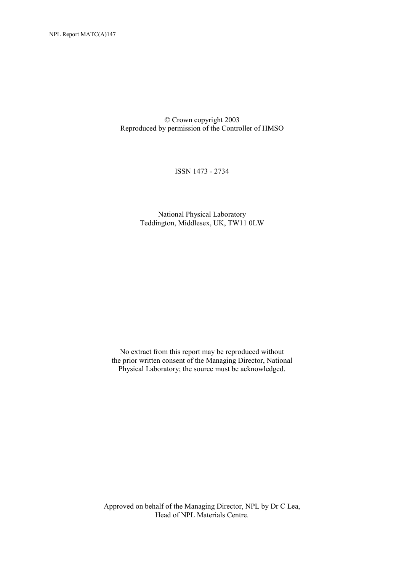© Crown copyright 2003 Reproduced by permission of the Controller of HMSO

ISSN 1473 - 2734

National Physical Laboratory Teddington, Middlesex, UK, TW11 0LW

No extract from this report may be reproduced without the prior written consent of the Managing Director, National Physical Laboratory; the source must be acknowledged.

Approved on behalf of the Managing Director, NPL by Dr C Lea, Head of NPL Materials Centre.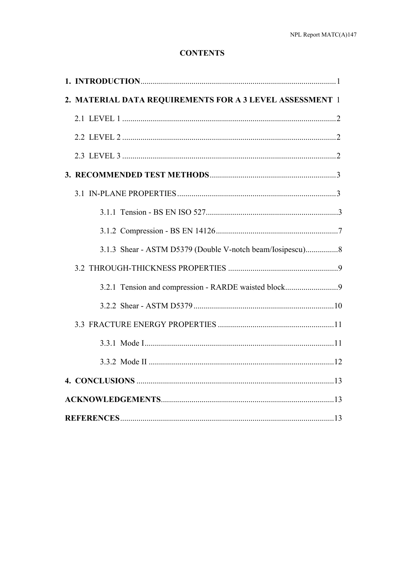## **CONTENTS**

| 2. MATERIAL DATA REQUIREMENTS FOR A 3 LEVEL ASSESSMENT 1  |  |
|-----------------------------------------------------------|--|
|                                                           |  |
|                                                           |  |
|                                                           |  |
|                                                           |  |
|                                                           |  |
|                                                           |  |
|                                                           |  |
| 3.1.3 Shear - ASTM D5379 (Double V-notch beam/Iosipescu)8 |  |
|                                                           |  |
| 3.2.1 Tension and compression - RARDE waisted block9      |  |
|                                                           |  |
|                                                           |  |
|                                                           |  |
|                                                           |  |
|                                                           |  |
|                                                           |  |
|                                                           |  |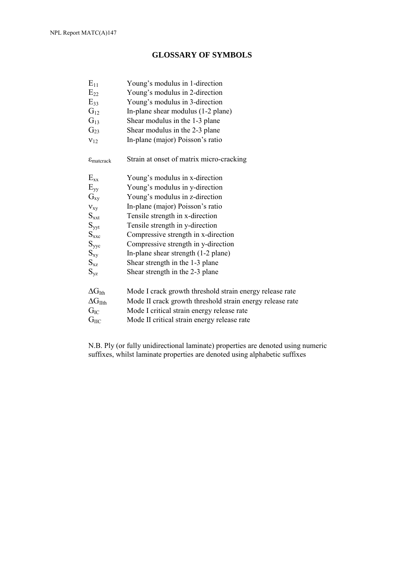## **GLOSSARY OF SYMBOLS**

| $E_{11}$                         | Young's modulus in 1-direction                            |
|----------------------------------|-----------------------------------------------------------|
| $E_{22}$                         | Young's modulus in 2-direction                            |
| $E_{33}$                         | Young's modulus in 3-direction                            |
| $G_{12}$                         | In-plane shear modulus (1-2 plane)                        |
| $G_{13}$                         | Shear modulus in the 1-3 plane                            |
| $G_{23}$                         | Shear modulus in the 2-3 plane                            |
| $v_{12}$                         | In-plane (major) Poisson's ratio                          |
| $\varepsilon_{\text{matterack}}$ | Strain at onset of matrix micro-cracking                  |
| $E_{xx}$                         | Young's modulus in x-direction                            |
| $E_{yy}$                         | Young's modulus in y-direction                            |
| $G_{xy}$                         | Young's modulus in z-direction                            |
| $V_{xy}$                         | In-plane (major) Poisson's ratio                          |
| $S_{xxt}$                        | Tensile strength in x-direction                           |
| $S_{yyt}$                        | Tensile strength in y-direction                           |
| $S_{\rm{xxc}}$                   | Compressive strength in x-direction                       |
| $S_{yyc}$                        | Compressive strength in y-direction                       |
| $S_{xy}$                         | In-plane shear strength (1-2 plane)                       |
| $S_{xz}$                         | Shear strength in the 1-3 plane                           |
| $S_{yz}$                         | Shear strength in the 2-3 plane                           |
| $\Delta G_{Ith}$                 | Mode I crack growth threshold strain energy release rate  |
| $\Delta G_{I I}$                 | Mode II crack growth threshold strain energy release rate |
| $G_{IC}$                         | Mode I critical strain energy release rate                |
| $\mathrm{G}_{\rm IIC}$           | Mode II critical strain energy release rate               |

N.B. Ply (or fully unidirectional laminate) properties are denoted using numeric suffixes, whilst laminate properties are denoted using alphabetic suffixes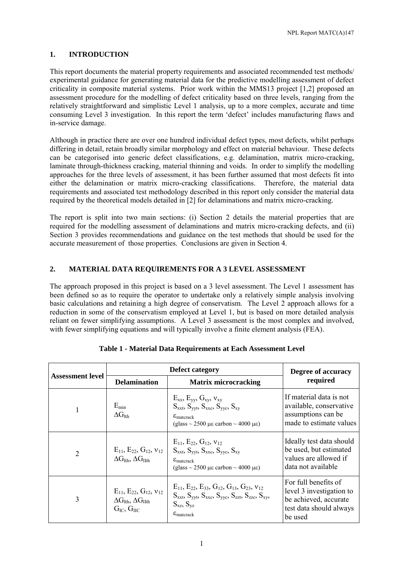## **1. INTRODUCTION**

This report documents the material property requirements and associated recommended test methods/ experimental guidance for generating material data for the predictive modelling assessment of defect criticality in composite material systems. Prior work within the MMS13 project [1,2] proposed an assessment procedure for the modelling of defect criticality based on three levels, ranging from the relatively straightforward and simplistic Level 1 analysis, up to a more complex, accurate and time consuming Level 3 investigation. In this report the term 'defect' includes manufacturing flaws and in-service damage.

Although in practice there are over one hundred individual defect types, most defects, whilst perhaps differing in detail, retain broadly similar morphology and effect on material behaviour. These defects can be categorised into generic defect classifications, e.g. delamination, matrix micro-cracking, laminate through-thickness cracking, material thinning and voids. In order to simplify the modelling approaches for the three levels of assessment, it has been further assumed that most defects fit into either the delamination or matrix micro-cracking classifications. Therefore, the material data requirements and associated test methodology described in this report only consider the material data required by the theoretical models detailed in [2] for delaminations and matrix micro-cracking.

The report is split into two main sections: (i) Section 2 details the material properties that are required for the modelling assessment of delaminations and matrix micro-cracking defects, and (ii) Section 3 provides recommendations and guidance on the test methods that should be used for the accurate measurement of those properties. Conclusions are given in Section 4.

## **2. MATERIAL DATA REQUIREMENTS FOR A 3 LEVEL ASSESSMENT**

The approach proposed in this project is based on a 3 level assessment. The Level 1 assessment has been defined so as to require the operator to undertake only a relatively simple analysis involving basic calculations and retaining a high degree of conservatism. The Level 2 approach allows for a reduction in some of the conservatism employed at Level 1, but is based on more detailed analysis reliant on fewer simplifying assumptions. A Level 3 assessment is the most complex and involved, with fewer simplifying equations and will typically involve a finite element analysis (FEA).

|                         |                                                                                                          | Degree of accuracy<br>required                                                                                                                                                                                                              |                                                                                                                 |
|-------------------------|----------------------------------------------------------------------------------------------------------|---------------------------------------------------------------------------------------------------------------------------------------------------------------------------------------------------------------------------------------------|-----------------------------------------------------------------------------------------------------------------|
| <b>Assessment level</b> | <b>Delamination</b><br><b>Matrix microcracking</b>                                                       |                                                                                                                                                                                                                                             |                                                                                                                 |
|                         | $E_{\rm min}$<br>$\Delta G_{Ith}$                                                                        | $E_{xx}$ , $E_{yy}$ , $G_{xy}$ , $v_{xy}$<br>$S_{\text{xxt}}, S_{\text{vvt}}, S_{\text{xxc}}, S_{\text{vvc}}, S_{\text{xv}}$<br>$\varepsilon_{\text{matterack}}$<br>$(glass \sim 2500 \mu \varepsilon$ carbon $\sim 4000 \mu \varepsilon$ ) | If material data is not<br>available, conservative<br>assumptions can be<br>made to estimate values             |
| 2                       | $E_{11}$ , $E_{22}$ , $G_{12}$ , $v_{12}$<br>$\Delta G$ <sub>Ith</sub> , $\Delta G$ <sub>IIth</sub>      | $E_{11}$ , $E_{22}$ , $G_{12}$ , $v_{12}$<br>$S_{xxt}$ , $S_{yyt}$ , $S_{xxc}$ , $S_{yyc}$ , $S_{xy}$<br>$\varepsilon_{\text{matter}}$<br>(glass $\sim$ 2500 µe carbon $\sim$ 4000 µe)                                                      | Ideally test data should<br>be used, but estimated<br>values are allowed if<br>data not available               |
| 3                       | $E_{11}$ , $E_{22}$ , $G_{12}$ , $v_{12}$<br>$\Delta G_{Ith}$ , $\Delta G_{I1th}$<br>$G_{IC}$ , $G_{IL}$ | $E_{11}$ , $E_{22}$ , $E_{33}$ , $G_{12}$ , $G_{13}$ , $G_{23}$ , $v_{12}$<br>$S_{xxt}$ , $S_{yyt}$ , $S_{xxc}$ , $S_{yyc}$ , $S_{zzt}$ , $S_{zzc}$ , $S_{xy}$ ,<br>$S_{xz}, S_{yz}$<br>$\varepsilon_{\text{matter}}$                       | For full benefits of<br>level 3 investigation to<br>be achieved, accurate<br>test data should always<br>be used |

|  |  |  | Table 1 - Material Data Requirements at Each Assessment Level |  |  |  |
|--|--|--|---------------------------------------------------------------|--|--|--|
|--|--|--|---------------------------------------------------------------|--|--|--|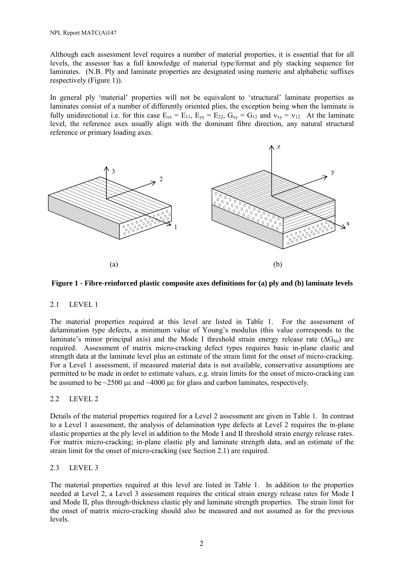Although each assessment level requires a number of material properties, it is essential that for all levels, the assessor has a full knowledge of material type/format and ply stacking sequence for laminates. (N.B. Ply and laminate properties are designated using numeric and alphabetic suffixes respectively (Figure 1)).

In general ply 'material' properties will not be equivalent to 'structural' laminate properties as laminates consist of a number of differently oriented plies, the exception being when the laminate is fully unidirectional i.e. for this case  $E_{xx} = E_{11}$ ,  $E_{yy} = E_{22}$ ,  $G_{xy} = G_{12}$  and  $v_{xy} = v_{12}$ . At the laminate level, the reference axes usually align with the dominant fibre direction, any natural structural reference or primary loading axes.



#### **Figure 1 - Fibre-reinforced plastic composite axes definitions for (a) ply and (b) laminate levels**

#### 2.1 LEVEL 1

The material properties required at this level are listed in Table 1. For the assessment of delamination type defects, a minimum value of Young's modulus (this value corresponds to the laminate's minor principal axis) and the Mode I threshold strain energy release rate ( $\Delta G_{\text{Ith}}$ ) are required. Assessment of matrix micro-cracking defect types requires basic in-plane elastic and strength data at the laminate level plus an estimate of the strain limit for the onset of micro-cracking. For a Level 1 assessment, if measured material data is not available, conservative assumptions are permitted to be made in order to estimate values, e.g. strain limits for the onset of micro-cracking can be assumed to be  $\sim$ 2500 us and  $\sim$ 4000 us for glass and carbon laminates, respectively.

#### 2.2 LEVEL 2

Details of the material properties required for a Level 2 assessment are given in Table 1. In contrast to a Level 1 assessment, the analysis of delamination type defects at Level 2 requires the in-plane elastic properties at the ply level in addition to the Mode I and II threshold strain energy release rates. For matrix micro-cracking; in-plane elastic ply and laminate strength data, and an estimate of the strain limit for the onset of micro-cracking (see Section 2.1) are required.

#### 2.3 LEVEL 3

The material properties required at this level are listed in Table 1. In addition to the properties needed at Level 2, a Level 3 assessment requires the critical strain energy release rates for Mode I and Mode II, plus through-thickness elastic ply and laminate strength properties. The strain limit for the onset of matrix micro-cracking should also be measured and not assumed as for the previous levels.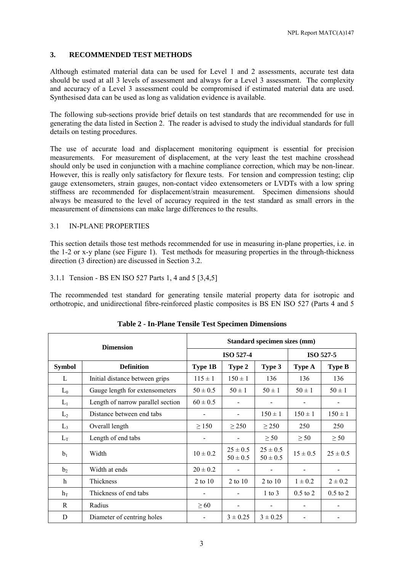## **3. RECOMMENDED TEST METHODS**

Although estimated material data can be used for Level 1 and 2 assessments, accurate test data should be used at all 3 levels of assessment and always for a Level 3 assessment. The complexity and accuracy of a Level 3 assessment could be compromised if estimated material data are used. Synthesised data can be used as long as validation evidence is available.

The following sub-sections provide brief details on test standards that are recommended for use in generating the data listed in Section 2. The reader is advised to study the individual standards for full details on testing procedures.

The use of accurate load and displacement monitoring equipment is essential for precision measurements. For measurement of displacement, at the very least the test machine crosshead should only be used in conjunction with a machine compliance correction, which may be non-linear. However, this is really only satisfactory for flexure tests. For tension and compression testing; clip gauge extensometers, strain gauges, non-contact video extensometers or LVDTs with a low spring stiffness are recommended for displacement/strain measurement. Specimen dimensions should always be measured to the level of accuracy required in the test standard as small errors in the measurement of dimensions can make large differences to the results.

#### 3.1 IN-PLANE PROPERTIES

This section details those test methods recommended for use in measuring in-plane properties, i.e. in the 1-2 or x-y plane (see Figure 1). Test methods for measuring properties in the through-thickness direction (3 direction) are discussed in Section 3.2.

3.1.1 Tension - BS EN ISO 527 Parts 1, 4 and 5 [3,4,5]

The recommended test standard for generating tensile material property data for isotropic and orthotropic, and unidirectional fibre-reinforced plastic composites is BS EN ISO 527 (Parts 4 and 5

| <b>Dimension</b> |                                   | Standard specimen sizes (mm) |                              |                              |              |                          |
|------------------|-----------------------------------|------------------------------|------------------------------|------------------------------|--------------|--------------------------|
|                  |                                   | <b>ISO 527-4</b>             |                              |                              | ISO 527-5    |                          |
| <b>Symbol</b>    | <b>Definition</b>                 | <b>Type 1B</b>               | Type 2                       | Type 3                       | Type A       | <b>Type B</b>            |
| L                | Initial distance between grips    | $115 \pm 1$                  | $150 \pm 1$                  | 136                          | 136          | 136                      |
| $L_0$            | Gauge length for extensometers    | $50 \pm 0.5$                 | $50 \pm 1$                   | $50 \pm 1$                   | $50 \pm 1$   | $50 \pm 1$               |
| $L_1$            | Length of narrow parallel section | $60 \pm 0.5$                 |                              |                              |              |                          |
| L <sub>2</sub>   | Distance between end tabs         |                              |                              | $150 \pm 1$                  | $150 \pm 1$  | $150 \pm 1$              |
| $L_3$            | Overall length                    | $\geq$ 150                   | $\geq$ 250                   | $\geq$ 250                   | 250          | 250                      |
| $L_T$            | Length of end tabs                |                              | $\overline{\phantom{a}}$     | $\geq$ 50                    | $\geq 50$    | $\geq 50$                |
| b <sub>1</sub>   | Width                             | $10 \pm 0.2$                 | $25 \pm 0.5$<br>$50 \pm 0.5$ | $25 \pm 0.5$<br>$50 \pm 0.5$ | $15 \pm 0.5$ | $25 \pm 0.5$             |
| b <sub>2</sub>   | Width at ends                     | $20 \pm 0.2$                 |                              |                              |              |                          |
| h                | Thickness                         | 2 to $10$                    | $2$ to $10$                  | 2 to 10                      | $1 \pm 0.2$  | $2 \pm 0.2$              |
| $h_T$            | Thickness of end tabs             |                              |                              | $1$ to $3$                   | $0.5$ to $2$ | $0.5$ to $2$             |
| R                | Radius                            | $\geq 60$                    |                              |                              |              |                          |
| D                | Diameter of centring holes        |                              | $3 \pm 0.25$                 | $3 \pm 0.25$                 | -            | $\overline{\phantom{a}}$ |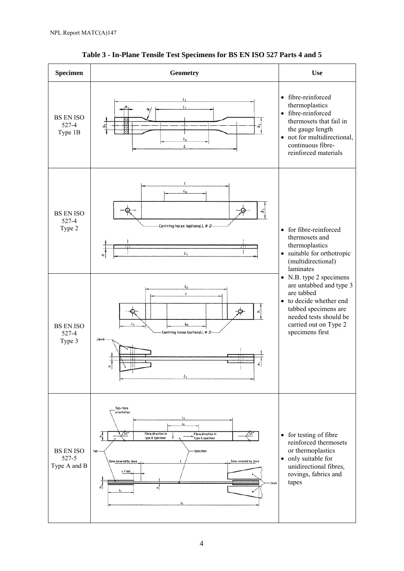

**Table 3 - In-Plane Tensile Test Specimens for BS EN ISO 527 Parts 4 and 5**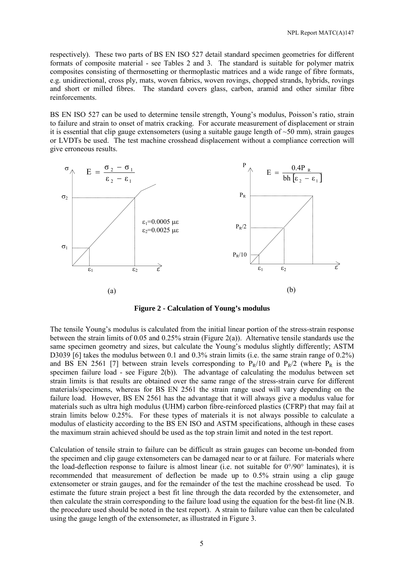respectively). These two parts of BS EN ISO 527 detail standard specimen geometries for different formats of composite material - see Tables 2 and 3. The standard is suitable for polymer matrix composites consisting of thermosetting or thermoplastic matrices and a wide range of fibre formats, e.g. unidirectional, cross ply, mats, woven fabrics, woven rovings, chopped strands, hybrids, rovings and short or milled fibres. The standard covers glass, carbon, aramid and other similar fibre reinforcements.

BS EN ISO 527 can be used to determine tensile strength, Young's modulus, Poisson's ratio, strain to failure and strain to onset of matrix cracking. For accurate measurement of displacement or strain it is essential that clip gauge extensometers (using a suitable gauge length of ~50 mm), strain gauges or LVDTs be used. The test machine crosshead displacement without a compliance correction will give erroneous results.



**Figure 2 - Calculation of Young's modulus** 

The tensile Young's modulus is calculated from the initial linear portion of the stress-strain response between the strain limits of 0.05 and 0.25% strain (Figure 2(a)). Alternative tensile standards use the same specimen geometry and sizes, but calculate the Young's modulus slightly differently; ASTM D3039 [6] takes the modulus between 0.1 and 0.3% strain limits (i.e. the same strain range of 0.2%) and BS EN 2561 [7] between strain levels corresponding to  $P_R/10$  and  $P_R/2$  (where  $P_R$  is the specimen failure load - see Figure  $2(b)$ ). The advantage of calculating the modulus between set strain limits is that results are obtained over the same range of the stress-strain curve for different materials/specimens, whereas for BS EN 2561 the strain range used will vary depending on the failure load. However, BS EN 2561 has the advantage that it will always give a modulus value for materials such as ultra high modulus (UHM) carbon fibre-reinforced plastics (CFRP) that may fail at strain limits below 0.25%. For these types of materials it is not always possible to calculate a modulus of elasticity according to the BS EN ISO and ASTM specifications, although in these cases the maximum strain achieved should be used as the top strain limit and noted in the test report.

Calculation of tensile strain to failure can be difficult as strain gauges can become un-bonded from the specimen and clip gauge extensometers can be damaged near to or at failure. For materials where the load-deflection response to failure is almost linear (i.e. not suitable for  $0^{\circ}/90^{\circ}$  laminates), it is recommended that measurement of deflection be made up to 0.5% strain using a clip gauge extensometer or strain gauges, and for the remainder of the test the machine crosshead be used. To estimate the future strain project a best fit line through the data recorded by the extensometer, and then calculate the strain corresponding to the failure load using the equation for the best-fit line (N.B. the procedure used should be noted in the test report). A strain to failure value can then be calculated using the gauge length of the extensometer, as illustrated in Figure 3.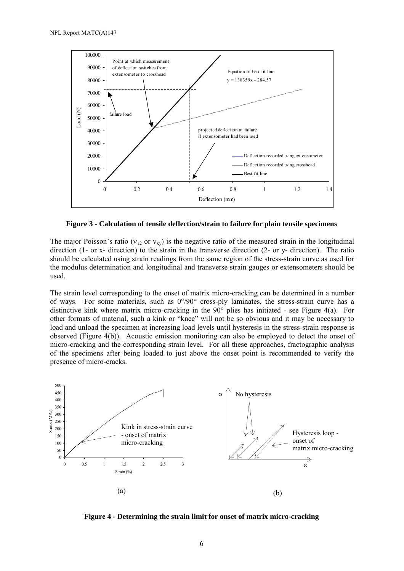

**Figure 3 - Calculation of tensile deflection/strain to failure for plain tensile specimens** 

The major Poisson's ratio ( $v_{12}$  or  $v_{xy}$ ) is the negative ratio of the measured strain in the longitudinal direction (1- or x- direction) to the strain in the transverse direction (2- or y- direction). The ratio should be calculated using strain readings from the same region of the stress-strain curve as used for the modulus determination and longitudinal and transverse strain gauges or extensometers should be used.

The strain level corresponding to the onset of matrix micro-cracking can be determined in a number of ways. For some materials, such as 0°/90° cross-ply laminates, the stress-strain curve has a distinctive kink where matrix micro-cracking in the 90° plies has initiated - see Figure 4(a). For other formats of material, such a kink or "knee" will not be so obvious and it may be necessary to load and unload the specimen at increasing load levels until hysteresis in the stress-strain response is observed (Figure 4(b)). Acoustic emission monitoring can also be employed to detect the onset of micro-cracking and the corresponding strain level. For all these approaches, fractographic analysis of the specimens after being loaded to just above the onset point is recommended to verify the presence of micro-cracks.



**Figure 4 - Determining the strain limit for onset of matrix micro-cracking**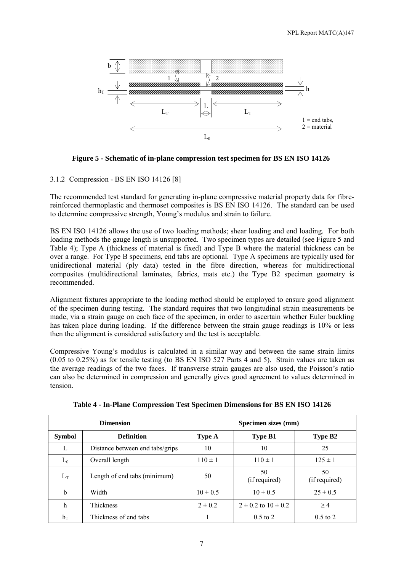

**Figure 5 - Schematic of in-plane compression test specimen for BS EN ISO 14126** 

#### 3.1.2 Compression - BS EN ISO 14126 [8]

The recommended test standard for generating in-plane compressive material property data for fibrereinforced thermoplastic and thermoset composites is BS EN ISO 14126. The standard can be used to determine compressive strength, Young's modulus and strain to failure.

BS EN ISO 14126 allows the use of two loading methods; shear loading and end loading. For both loading methods the gauge length is unsupported. Two specimen types are detailed (see Figure 5 and Table 4); Type A (thickness of material is fixed) and Type B where the material thickness can be over a range. For Type B specimens, end tabs are optional. Type A specimens are typically used for unidirectional material (ply data) tested in the fibre direction, whereas for multidirectional composites (multidirectional laminates, fabrics, mats etc.) the Type B2 specimen geometry is recommended.

Alignment fixtures appropriate to the loading method should be employed to ensure good alignment of the specimen during testing. The standard requires that two longitudinal strain measurements be made, via a strain gauge on each face of the specimen, in order to ascertain whether Euler buckling has taken place during loading. If the difference between the strain gauge readings is 10% or less then the alignment is considered satisfactory and the test is acceptable.

Compressive Young's modulus is calculated in a similar way and between the same strain limits (0.05 to 0.25%) as for tensile testing (to BS EN ISO 527 Parts 4 and 5). Strain values are taken as the average readings of the two faces. If transverse strain gauges are also used, the Poisson's ratio can also be determined in compression and generally gives good agreement to values determined in tension.

|               | <b>Dimension</b>                | Specimen sizes (mm) |                             |                     |  |
|---------------|---------------------------------|---------------------|-----------------------------|---------------------|--|
| <b>Symbol</b> | <b>Definition</b>               | <b>Type A</b>       | <b>Type B1</b>              | Type B2             |  |
| L             | Distance between end tabs/grips | 10                  | 10                          | 25                  |  |
| $L_0$         | Overall length                  | $110 \pm 1$         | $110 \pm 1$                 | $125 \pm 1$         |  |
| $L_T$         | Length of end tabs (minimum)    | 50                  | 50<br>(if required)         | 50<br>(if required) |  |
| b             | Width                           | $10 \pm 0.5$        | $10 \pm 0.5$                | $25 \pm 0.5$        |  |
| h             | <b>Thickness</b>                | $2 \pm 0.2$         | $2 \pm 0.2$ to $10 \pm 0.2$ | $\geq$ 4            |  |
| $h_T$         | Thickness of end tabs           |                     | $0.5$ to 2                  | $0.5$ to 2          |  |

**Table 4 - In-Plane Compression Test Specimen Dimensions for BS EN ISO 14126**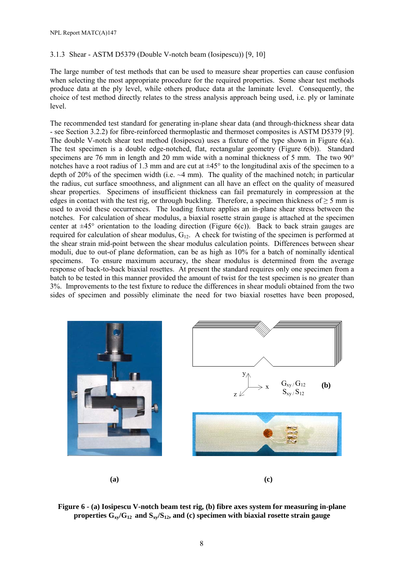#### 3.1.3 Shear - ASTM D5379 (Double V-notch beam (Iosipescu)) [9, 10]

The large number of test methods that can be used to measure shear properties can cause confusion when selecting the most appropriate procedure for the required properties. Some shear test methods produce data at the ply level, while others produce data at the laminate level. Consequently, the choice of test method directly relates to the stress analysis approach being used, i.e. ply or laminate level.

The recommended test standard for generating in-plane shear data (and through-thickness shear data - see Section 3.2.2) for fibre-reinforced thermoplastic and thermoset composites is ASTM D5379 [9]. The double V-notch shear test method (Iosipescu) uses a fixture of the type shown in Figure 6(a). The test specimen is a double edge-notched, flat, rectangular geometry (Figure 6(b)). Standard specimens are 76 mm in length and 20 mm wide with a nominal thickness of 5 mm. The two 90<sup>°</sup> notches have a root radius of 1.3 mm and are cut at  $\pm 45^{\circ}$  to the longitudinal axis of the specimen to a depth of 20% of the specimen width (i.e. ~4 mm). The quality of the machined notch; in particular the radius, cut surface smoothness, and alignment can all have an effect on the quality of measured shear properties. Specimens of insufficient thickness can fail prematurely in compression at the edges in contact with the test rig, or through buckling. Therefore, a specimen thickness of  $\geq$  5 mm is used to avoid these occurrences. The loading fixture applies an in-plane shear stress between the notches. For calculation of shear modulus, a biaxial rosette strain gauge is attached at the specimen center at  $\pm 45^{\circ}$  orientation to the loading direction (Figure 6(c)). Back to back strain gauges are required for calculation of shear modulus,  $G_{12}$ . A check for twisting of the specimen is performed at the shear strain mid-point between the shear modulus calculation points. Differences between shear moduli, due to out-of plane deformation, can be as high as 10% for a batch of nominally identical specimens. To ensure maximum accuracy, the shear modulus is determined from the average response of back-to-back biaxial rosettes. At present the standard requires only one specimen from a batch to be tested in this manner provided the amount of twist for the test specimen is no greater than 3%. Improvements to the test fixture to reduce the differences in shear moduli obtained from the two sides of specimen and possibly eliminate the need for two biaxial rosettes have been proposed,



**Figure 6 - (a) Iosipescu V-notch beam test rig, (b) fibre axes system for measuring in-plane properties Gxy/G12 and Sxy/S12, and (c) specimen with biaxial rosette strain gauge**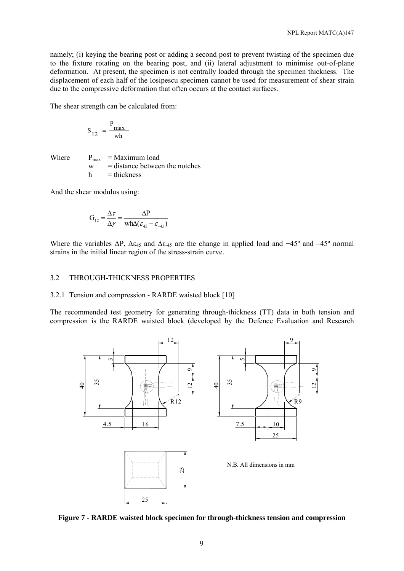namely; (i) keying the bearing post or adding a second post to prevent twisting of the specimen due to the fixture rotating on the bearing post, and (ii) lateral adjustment to minimise out-of-plane deformation. At present, the specimen is not centrally loaded through the specimen thickness. The displacement of each half of the Iosipescu specimen cannot be used for measurement of shear strain due to the compressive deformation that often occurs at the contact surfaces.

The shear strength can be calculated from:

$$
S_{12} = \frac{P_{\text{max}}}{wh}
$$

Where  $P_{\text{max}} = \text{Maximum load}$  w = distance between the notches  $h$  = thickness

And the shear modulus using:

$$
G_{12} = \frac{\Delta \tau}{\Delta \gamma} = \frac{\Delta P}{wh\Delta(\varepsilon_{45} - \varepsilon_{-45})}
$$

Where the variables  $\Delta P$ ,  $\Delta \varepsilon_{45}$  and  $\Delta \varepsilon_{45}$  are the change in applied load and +45° and -45° normal strains in the initial linear region of the stress-strain curve.

#### 3.2 THROUGH-THICKNESS PROPERTIES

#### 3.2.1 Tension and compression - RARDE waisted block [10]

The recommended test geometry for generating through-thickness (TT) data in both tension and compression is the RARDE waisted block (developed by the Defence Evaluation and Research



**Figure 7 - RARDE waisted block specimen for through-thickness tension and compression**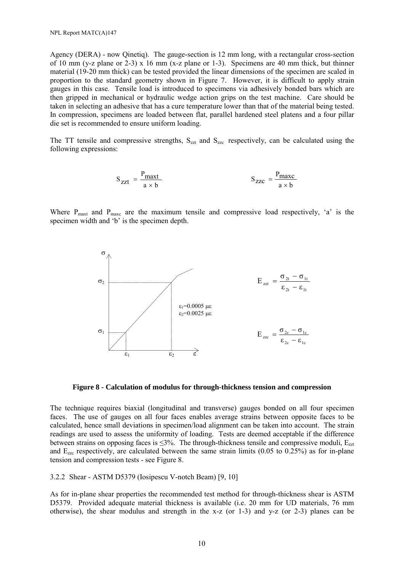Agency (DERA) - now Qinetiq). The gauge-section is 12 mm long, with a rectangular cross-section of 10 mm (y-z plane or 2-3) x 16 mm (x-z plane or 1-3). Specimens are 40 mm thick, but thinner material (19-20 mm thick) can be tested provided the linear dimensions of the specimen are scaled in proportion to the standard geometry shown in Figure 7. However, it is difficult to apply strain gauges in this case. Tensile load is introduced to specimens via adhesively bonded bars which are then gripped in mechanical or hydraulic wedge action grips on the test machine. Care should be taken in selecting an adhesive that has a cure temperature lower than that of the material being tested. In compression, specimens are loaded between flat, parallel hardened steel platens and a four pillar die set is recommended to ensure uniform loading.

The TT tensile and compressive strengths,  $S_{zzt}$  and  $S_{zzc}$  respectively, can be calculated using the following expressions:

$$
S_{zzt} = \frac{P_{\text{maxt}}}{a \times b} \qquad S_{zzc} = \frac{P_{\text{maxc}}}{a \times b}
$$

Where  $P_{\text{max}}$  and  $P_{\text{max}}$  are the maximum tensile and compressive load respectively, 'a' is the specimen width and 'b' is the specimen depth.



**Figure 8 - Calculation of modulus for through-thickness tension and compression** 

The technique requires biaxial (longitudinal and transverse) gauges bonded on all four specimen faces. The use of gauges on all four faces enables average strains between opposite faces to be calculated, hence small deviations in specimen/load alignment can be taken into account. The strain readings are used to assess the uniformity of loading. Tests are deemed acceptable if the difference between strains on opposing faces is  $\leq 3\%$ . The through-thickness tensile and compressive moduli,  $E_{zzt}$ and  $E_{zzc}$  respectively, are calculated between the same strain limits (0.05 to 0.25%) as for in-plane tension and compression tests - see Figure 8.

3.2.2 Shear - ASTM D5379 (Iosipescu V-notch Beam) [9, 10]

As for in-plane shear properties the recommended test method for through-thickness shear is ASTM D5379. Provided adequate material thickness is available (i.e. 20 mm for UD materials, 76 mm otherwise), the shear modulus and strength in the x-z (or 1-3) and y-z (or 2-3) planes can be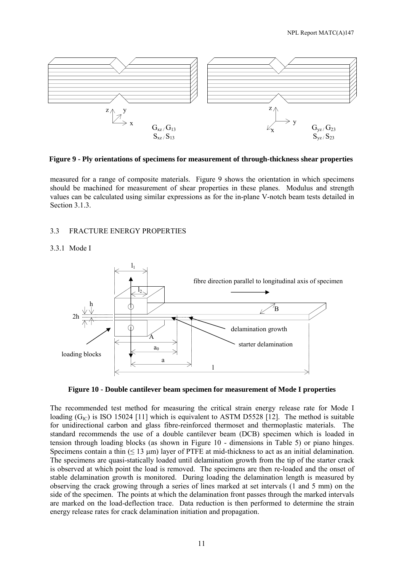

**Figure 9 - Ply orientations of specimens for measurement of through-thickness shear properties** 

measured for a range of composite materials. Figure 9 shows the orientation in which specimens should be machined for measurement of shear properties in these planes. Modulus and strength values can be calculated using similar expressions as for the in-plane V-notch beam tests detailed in Section 3.1.3.

#### 3.3 FRACTURE ENERGY PROPERTIES

#### 3.3.1 Mode I



**Figure 10 - Double cantilever beam specimen for measurement of Mode I properties** 

The recommended test method for measuring the critical strain energy release rate for Mode I loading  $(G<sub>IC</sub>)$  is ISO 15024 [11] which is equivalent to ASTM D5528 [12]. The method is suitable for unidirectional carbon and glass fibre-reinforced thermoset and thermoplastic materials. The standard recommends the use of a double cantilever beam (DCB) specimen which is loaded in tension through loading blocks (as shown in Figure 10 - dimensions in Table 5) or piano hinges. Specimens contain a thin  $(≤ 13 \mu m)$  layer of PTFE at mid-thickness to act as an initial delamination. The specimens are quasi-statically loaded until delamination growth from the tip of the starter crack is observed at which point the load is removed. The specimens are then re-loaded and the onset of stable delamination growth is monitored. During loading the delamination length is measured by observing the crack growing through a series of lines marked at set intervals (1 and 5 mm) on the side of the specimen. The points at which the delamination front passes through the marked intervals are marked on the load-deflection trace. Data reduction is then performed to determine the strain energy release rates for crack delamination initiation and propagation.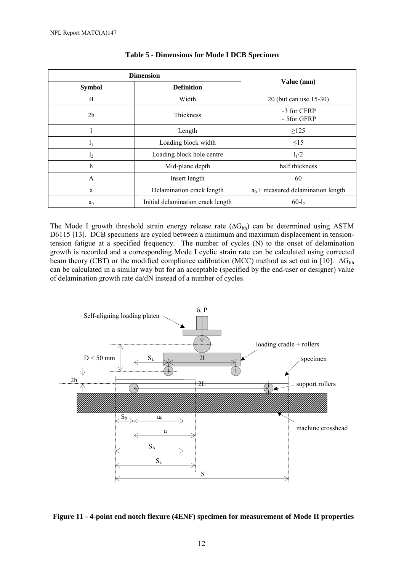| <b>Dimension</b>          |                                   |                                        |  |
|---------------------------|-----------------------------------|----------------------------------------|--|
| <b>Symbol</b>             | <b>Definition</b>                 | Value (mm)                             |  |
| B                         | Width                             | 20 (but can use 15-30)                 |  |
| 2 <sub>h</sub>            | <b>Thickness</b>                  | $\sim$ 3 for CFRP<br>$\sim$ 5 for GFRP |  |
|                           | Length                            | >125                                   |  |
| $l_1$                     | Loading block width               | $\leq15$                               |  |
| l <sub>2</sub>            | Loading block hole centre         | 1/2                                    |  |
| $\boldsymbol{\mathrm{h}}$ | Mid-plane depth                   | half thickness                         |  |
| A                         | Insert length                     | 60                                     |  |
| a                         | Delamination crack length         | $a_0$ + measured delamination length   |  |
| a <sub>0</sub>            | Initial delamination crack length | $60-l_2$                               |  |

#### **Table 5 - Dimensions for Mode I DCB Specimen**

The Mode I growth threshold strain energy release rate ( $\Delta G_{Ith}$ ) can be determined using ASTM D6115 [13]. DCB specimens are cycled between a minimum and maximum displacement in tensiontension fatigue at a specified frequency. The number of cycles (N) to the onset of delamination growth is recorded and a corresponding Mode I cyclic strain rate can be calculated using corrected beam theory (CBT) or the modified compliance calibration (MCC) method as set out in [10].  $\Delta G_{I\text{th}}$ can be calculated in a similar way but for an acceptable (specified by the end-user or designer) value of delamination growth rate da/dN instead of a number of cycles.



#### **Figure 11 - 4-point end notch flexure (4ENF) specimen for measurement of Mode II properties**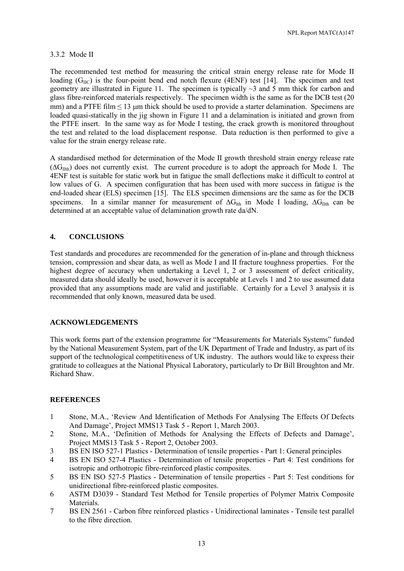#### 3.3.2 Mode II

The recommended test method for measuring the critical strain energy release rate for Mode II loading  $(G_{\text{HC}})$  is the four-point bend end notch flexure (4ENF) test [14]. The specimen and test geometry are illustrated in Figure 11. The specimen is typically  $\sim$ 3 and 5 mm thick for carbon and glass fibre-reinforced materials respectively. The specimen width is the same as for the DCB test (20 mm) and a PTFE film  $\leq 13$  µm thick should be used to provide a starter delamination. Specimens are loaded quasi-statically in the jig shown in Figure 11 and a delamination is initiated and grown from the PTFE insert. In the same way as for Mode I testing, the crack growth is monitored throughout the test and related to the load displacement response. Data reduction is then performed to give a value for the strain energy release rate.

A standardised method for determination of the Mode II growth threshold strain energy release rate ( $\Delta G$ <sub>IIth</sub>) does not currently exist. The current procedure is to adopt the approach for Mode I. The 4ENF test is suitable for static work but in fatigue the small deflections make it difficult to control at low values of G. A specimen configuration that has been used with more success in fatigue is the end-loaded shear (ELS) specimen [15]. The ELS specimen dimensions are the same as for the DCB specimens. In a similar manner for measurement of  $\Delta G_{Ith}$  in Mode I loading,  $\Delta G_{IIth}$  can be determined at an acceptable value of delamination growth rate da/dN.

#### **4. CONCLUSIONS**

Test standards and procedures are recommended for the generation of in-plane and through thickness tension, compression and shear data, as well as Mode I and II fracture toughness properties. For the highest degree of accuracy when undertaking a Level 1, 2 or 3 assessment of defect criticality, measured data should ideally be used, however it is acceptable at Levels 1 and 2 to use assumed data provided that any assumptions made are valid and justifiable. Certainly for a Level 3 analysis it is recommended that only known, measured data be used.

#### **ACKNOWLEDGEMENTS**

This work forms part of the extension programme for "Measurements for Materials Systems" funded by the National Measurement System, part of the UK Department of Trade and Industry, as part of its support of the technological competitiveness of UK industry. The authors would like to express their gratitude to colleagues at the National Physical Laboratory, particularly to Dr Bill Broughton and Mr. Richard Shaw.

#### **REFERENCES**

- 1 Stone, M.A., 'Review And Identification of Methods For Analysing The Effects Of Defects And Damage', Project MMS13 Task 5 - Report 1, March 2003.
- 2 Stone, M.A., 'Definition of Methods for Analysing the Effects of Defects and Damage', Project MMS13 Task 5 - Report 2, October 2003.
- 3 BS EN ISO 527-1 Plastics Determination of tensile properties Part 1: General principles
- 4 BS EN ISO 527-4 Plastics Determination of tensile properties Part 4: Test conditions for isotropic and orthotropic fibre-reinforced plastic composites.
- 5 BS EN ISO 527-5 Plastics Determination of tensile properties Part 5: Test conditions for unidirectional fibre-reinforced plastic composites.
- 6 ASTM D3039 Standard Test Method for Tensile properties of Polymer Matrix Composite **Materials**
- 7 BS EN 2561 Carbon fibre reinforced plastics Unidirectional laminates Tensile test parallel to the fibre direction.